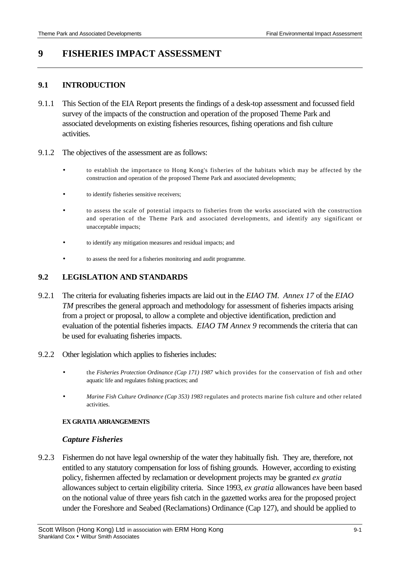# **9 FISHERIES IMPACT ASSESSMENT**

### **9.1 INTRODUCTION**

- 9.1.1 This Section of the EIA Report presents the findings of a desk-top assessment and focussed field survey of the impacts of the construction and operation of the proposed Theme Park and associated developments on existing fisheries resources, fishing operations and fish culture activities.
- 9.1.2 The objectives of the assessment are as follows:
	- to establish the importance to Hong Kong's fisheries of the habitats which may be affected by the construction and operation of the proposed Theme Park and associated developments;
	- to identify fisheries sensitive receivers;
	- to assess the scale of potential impacts to fisheries from the works associated with the construction and operation of the Theme Park and associated developments, and identify any significant or unacceptable impacts;
	- to identify any mitigation measures and residual impacts; and
	- to assess the need for a fisheries monitoring and audit programme.

## **9.2 LEGISLATION AND STANDARDS**

- 9.2.1 The criteria for evaluating fisheries impacts are laid out in the *EIAO TM*. *Annex 17* of the *EIAO TM* prescribes the general approach and methodology for assessment of fisheries impacts arising from a project or proposal, to allow a complete and objective identification, prediction and evaluation of the potential fisheries impacts. *EIAO TM Annex 9* recommends the criteria that can be used for evaluating fisheries impacts.
- 9.2.2 Other legislation which applies to fisheries includes:
	- the *Fisheries Protection Ordinance (Cap 171) 1987* which provides for the conservation of fish and other aquatic life and regulates fishing practices; and
	- *Marine Fish Culture Ordinance (Cap 353) 1983* regulates and protects marine fish culture and other related activities.

#### **EX GRATIA ARRANGEMENTS**

#### *Capture Fisheries*

9.2.3 Fishermen do not have legal ownership of the water they habitually fish. They are, therefore, not entitled to any statutory compensation for loss of fishing grounds. However, according to existing policy, fishermen affected by reclamation or development projects may be granted *ex gratia* allowances subject to certain eligibility criteria. Since 1993, *ex gratia* allowances have been based on the notional value of three years fish catch in the gazetted works area for the proposed project under the Foreshore and Seabed (Reclamations) Ordinance (Cap 127), and should be applied to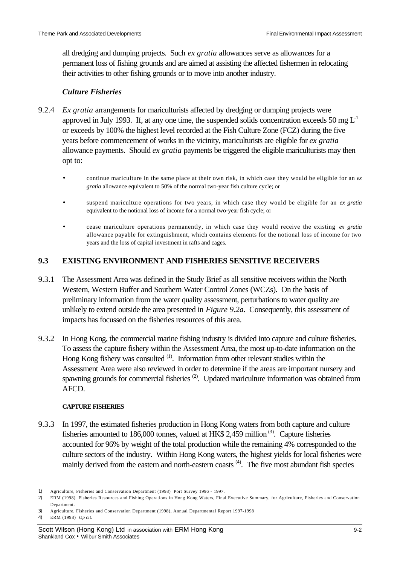all dredging and dumping projects. Such *ex gratia* allowances serve as allowances for a permanent loss of fishing grounds and are aimed at assisting the affected fishermen in relocating their activities to other fishing grounds or to move into another industry.

# *Culture Fisheries*

- 9.2.4 *Ex gratia* arrangements for mariculturists affected by dredging or dumping projects were approved in July 1993. If, at any one time, the suspended solids concentration exceeds 50 mg  $L^{-1}$ or exceeds by 100% the highest level recorded at the Fish Culture Zone (FCZ) during the five years before commencement of works in the vicinity, mariculturists are eligible for *ex gratia* allowance payments. Should *ex gratia* payments be triggered the eligible mariculturists may then opt to:
	- continue mariculture in the same place at their own risk, in which case they would be eligible for an *ex gratia* allowance equivalent to 50% of the normal two-year fish culture cycle; or
	- suspend mariculture operations for two years, in which case they would be eligible for an *ex gratia* equivalent to the notional loss of income for a normal two-year fish cycle; or
	- cease mariculture operations permanently, in which case they would receive the existing *ex gratia* allowance payable for extinguishment, which contains elements for the notional loss of income for two years and the loss of capital investment in rafts and cages.

# **9.3 EXISTING ENVIRONMENT AND FISHERIES SENSITIVE RECEIVERS**

- 9.3.1 The Assessment Area was defined in the Study Brief as all sensitive receivers within the North Western, Western Buffer and Southern Water Control Zones (WCZs). On the basis of preliminary information from the water quality assessment, perturbations to water quality are unlikely to extend outside the area presented in *Figure 9.2a*. Consequently, this assessment of impacts has focussed on the fisheries resources of this area.
- 9.3.2 In Hong Kong, the commercial marine fishing industry is divided into capture and culture fisheries. To assess the capture fishery within the Assessment Area, the most up-to-date information on the Hong Kong fishery was consulted <sup>(1)</sup>. Information from other relevant studies within the Assessment Area were also reviewed in order to determine if the areas are important nursery and spawning grounds for commercial fisheries<sup>(2)</sup>. Updated mariculture information was obtained from AFCD.

### **CAPTURE FISHERIES**

9.3.3 In 1997, the estimated fisheries production in Hong Kong waters from both capture and culture fisheries amounted to 186,000 tonnes, valued at HK\$ 2,459 million<sup>(3)</sup>. Capture fisheries accounted for 96% by weight of the total production while the remaining 4% corresponded to the culture sectors of the industry. Within Hong Kong waters, the highest yields for local fisheries were mainly derived from the eastern and north-eastern coasts<sup>(4)</sup>. The five most abundant fish species

<sup>1)</sup> Agriculture, Fisheries and Conservation Department (1998) Port Survey 1996 - 1997.

<sup>2)</sup> ERM (1998) Fisheries Resources and Fishing Operations in Hong Kong Waters, Final Executive Summary, for Agriculture, Fisheries and Conservation Department.

<sup>3)</sup> Agriculture, Fisheries and Conservation Department (1998), Annual Departmental Report 1997-1998

<sup>4)</sup> ERM (1998) *Op cit.*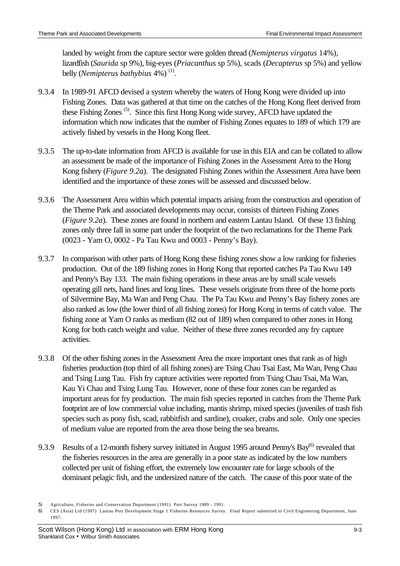landed by weight from the capture sector were golden thread (*Nemipterus virgatus* 14%), lizardfish (*Saurida* sp 9%), big-eyes (*Priacanthus* sp 5%), scads (*Decapterus* sp 5%) and yellow belly (*Nemipterus bathybius* 4%)<sup>(1)</sup>.

- 9.3.4 In 1989-91 AFCD devised a system whereby the waters of Hong Kong were divided up into Fishing Zones. Data was gathered at that time on the catches of the Hong Kong fleet derived from these Fishing Zones<sup>(5)</sup>. Since this first Hong Kong wide survey, AFCD have updated the information which now indicates that the number of Fishing Zones equates to 189 of which 179 are actively fished by vessels in the Hong Kong fleet.
- 9.3.5 The up-to-date information from AFCD is available for use in this EIA and can be collated to allow an assessment be made of the importance of Fishing Zones in the Assessment Area to the Hong Kong fishery (*Figure 9.2a*). The designated Fishing Zones within the Assessment Area have been identified and the importance of these zones will be assessed and discussed below.
- 9.3.6 The Assessment Area within which potential impacts arising from the construction and operation of the Theme Park and associated developments may occur, consists of thirteen Fishing Zones (*Figure 9.2a*). These zones are found in northern and eastern Lantau Island. Of these 13 fishing zones only three fall in some part under the footprint of the two reclamations for the Theme Park (0023 - Yam O, 0002 - Pa Tau Kwu and 0003 - Penny's Bay).
- 9.3.7 In comparison with other parts of Hong Kong these fishing zones show a low ranking for fisheries production. Out of the 189 fishing zones in Hong Kong that reported catches Pa Tau Kwu 149 and Penny's Bay 133. The main fishing operations in these areas are by small scale vessels operating gill nets, hand lines and long lines. These vessels originate from three of the home ports of Silvermine Bay, Ma Wan and Peng Chau. The Pa Tau Kwu and Penny's Bay fishery zones are also ranked as low (the lower third of all fishing zones) for Hong Kong in terms of catch value. The fishing zone at Yam O ranks as medium (82 out of 189) when compared to other zones in Hong Kong for both catch weight and value. Neither of these three zones recorded any fry capture activities.
- 9.3.8 Of the other fishing zones in the Assessment Area the more important ones that rank as of high fisheries production (top third of all fishing zones) are Tsing Chau Tsai East, Ma Wan, Peng Chau and Tsing Lung Tau. Fish fry capture activities were reported from Tsing Chau Tsai, Ma Wan, Kau Yi Chau and Tsing Lung Tau. However, none of these four zones can be regarded as important areas for fry production. The main fish species reported in catches from the Theme Park footprint are of low commercial value including, mantis shrimp, mixed species (juveniles of trash fish species such as pony fish, scad, rabbitfish and sardine), croaker, crabs and sole. Only one species of medium value are reported from the area those being the sea breams.
- 9.3.9 Results of a 12-month fishery survey initiated in August 1995 around Penny's Bay<sup>(6)</sup> revealed that the fisheries resources in the area are generally in a poor state as indicated by the low numbers collected per unit of fishing effort, the extremely low encounter rate for large schools of the dominant pelagic fish, and the undersized nature of the catch. The cause of this poor state of the

<sup>5)</sup> Agriculture, Fisheries and Conservation Department (1991) Port Survey 1989 - 1991.

<sup>6)</sup> CES (Asia) Ltd (1997) Lantau Port Development Stage 1 Fisheries Resources Survey. Final Report submitted to Civil Engineering Department, June 1997.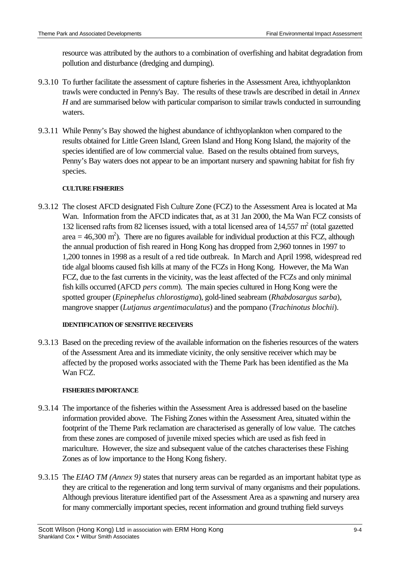resource was attributed by the authors to a combination of overfishing and habitat degradation from pollution and disturbance (dredging and dumping).

- 9.3.10 To further facilitate the assessment of capture fisheries in the Assessment Area, ichthyoplankton trawls were conducted in Penny's Bay. The results of these trawls are described in detail in *Annex H* and are summarised below with particular comparison to similar trawls conducted in surrounding waters.
- 9.3.11 While Penny's Bay showed the highest abundance of ichthyoplankton when compared to the results obtained for Little Green Island, Green Island and Hong Kong Island, the majority of the species identified are of low commercial value. Based on the results obtained from surveys, Penny's Bay waters does not appear to be an important nursery and spawning habitat for fish fry species.

### **CULTURE FISHERIES**

9.3.12 The closest AFCD designated Fish Culture Zone (FCZ) to the Assessment Area is located at Ma Wan. Information from the AFCD indicates that, as at 31 Jan 2000, the Ma Wan FCZ consists of 132 licensed rafts from 82 licenses issued, with a total licensed area of 14,557  $m^2$  (total gazetted area  $=$  46,300 m<sup>2</sup>). There are no figures available for individual production at this FCZ, although the annual production of fish reared in Hong Kong has dropped from 2,960 tonnes in 1997 to 1,200 tonnes in 1998 as a result of a red tide outbreak. In March and April 1998, widespread red tide algal blooms caused fish kills at many of the FCZs in Hong Kong. However, the Ma Wan FCZ, due to the fast currents in the vicinity, was the least affected of the FCZs and only minimal fish kills occurred (AFCD *pers comm*). The main species cultured in Hong Kong were the spotted grouper (*Epinephelus chlorostigma*), gold-lined seabream (*Rhabdosargus sarba*), mangrove snapper (*Lutjanus argentimaculatus*) and the pompano (*Trachinotus blochii*).

### **IDENTIFICATION OF SENSITIVE RECEIVERS**

9.3.13 Based on the preceding review of the available information on the fisheries resources of the waters of the Assessment Area and its immediate vicinity, the only sensitive receiver which may be affected by the proposed works associated with the Theme Park has been identified as the Ma Wan FCZ.

## **FISHERIES IMPORTANCE**

- 9.3.14 The importance of the fisheries within the Assessment Area is addressed based on the baseline information provided above. The Fishing Zones within the Assessment Area, situated within the footprint of the Theme Park reclamation are characterised as generally of low value. The catches from these zones are composed of juvenile mixed species which are used as fish feed in mariculture. However, the size and subsequent value of the catches characterises these Fishing Zones as of low importance to the Hong Kong fishery.
- 9.3.15 The *EIAO TM (Annex 9)* states that nursery areas can be regarded as an important habitat type as they are critical to the regeneration and long term survival of many organisms and their populations. Although previous literature identified part of the Assessment Area as a spawning and nursery area for many commercially important species, recent information and ground truthing field surveys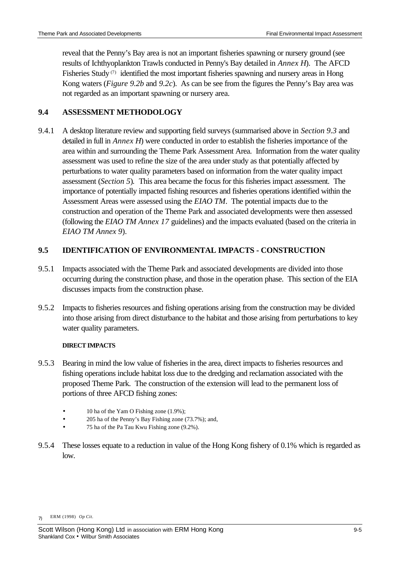reveal that the Penny's Bay area is not an important fisheries spawning or nursery ground (see results of Ichthyoplankton Trawls conducted in Penny's Bay detailed in *Annex H*). The AFCD Fisheries Study<sup>(7)</sup> identified the most important fisheries spawning and nursery areas in Hong Kong waters (*Figure 9.2b* and *9.2c*). As can be see from the figures the Penny's Bay area was not regarded as an important spawning or nursery area.

# **9.4 ASSESSMENT METHODOLOGY**

9.4.1 A desktop literature review and supporting field surveys (summarised above in *Section 9.3* and detailed in full in *Annex H*) were conducted in order to establish the fisheries importance of the area within and surrounding the Theme Park Assessment Area. Information from the water quality assessment was used to refine the size of the area under study as that potentially affected by perturbations to water quality parameters based on information from the water quality impact assessment (*Section 5*)*.* This area became the focus for this fisheries impact assessment. The importance of potentially impacted fishing resources and fisheries operations identified within the Assessment Areas were assessed using the *EIAO TM*. The potential impacts due to the construction and operation of the Theme Park and associated developments were then assessed (following the *EIAO TM Annex 17* guidelines) and the impacts evaluated (based on the criteria in *EIAO TM Annex 9*).

# **9.5 IDENTIFICATION OF ENVIRONMENTAL IMPACTS - CONSTRUCTION**

- 9.5.1 Impacts associated with the Theme Park and associated developments are divided into those occurring during the construction phase, and those in the operation phase. This section of the EIA discusses impacts from the construction phase.
- 9.5.2 Impacts to fisheries resources and fishing operations arising from the construction may be divided into those arising from direct disturbance to the habitat and those arising from perturbations to key water quality parameters.

### **DIRECT IMPACTS**

- 9.5.3 Bearing in mind the low value of fisheries in the area, direct impacts to fisheries resources and fishing operations include habitat loss due to the dredging and reclamation associated with the proposed Theme Park. The construction of the extension will lead to the permanent loss of portions of three AFCD fishing zones:
	- 10 ha of the Yam O Fishing zone (1.9%);
	- 205 ha of the Penny's Bay Fishing zone (73.7%); and,
	- 75 ha of the Pa Tau Kwu Fishing zone (9.2%).
- 9.5.4 These losses equate to a reduction in value of the Hong Kong fishery of 0.1% which is regarded as low.

<sup>7)</sup> ERM (1998) *Op Cit.*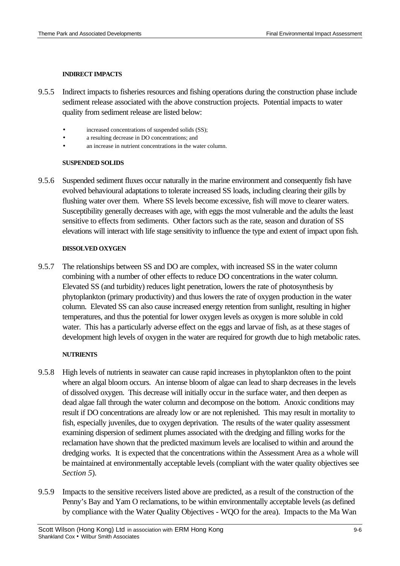#### **INDIRECT IMPACTS**

- 9.5.5 Indirect impacts to fisheries resources and fishing operations during the construction phase include sediment release associated with the above construction projects. Potential impacts to water quality from sediment release are listed below:
	- increased concentrations of suspended solids (SS);
	- a resulting decrease in DO concentrations; and
	- an increase in nutrient concentrations in the water column.

#### **SUSPENDED SOLIDS**

9.5.6 Suspended sediment fluxes occur naturally in the marine environment and consequently fish have evolved behavioural adaptations to tolerate increased SS loads, including clearing their gills by flushing water over them. Where SS levels become excessive, fish will move to clearer waters. Susceptibility generally decreases with age, with eggs the most vulnerable and the adults the least sensitive to effects from sediments. Other factors such as the rate, season and duration of SS elevations will interact with life stage sensitivity to influence the type and extent of impact upon fish.

### **DISSOLVED OXYGEN**

9.5.7 The relationships between SS and DO are complex, with increased SS in the water column combining with a number of other effects to reduce DO concentrations in the water column. Elevated SS (and turbidity) reduces light penetration, lowers the rate of photosynthesis by phytoplankton (primary productivity) and thus lowers the rate of oxygen production in the water column. Elevated SS can also cause increased energy retention from sunlight, resulting in higher temperatures, and thus the potential for lower oxygen levels as oxygen is more soluble in cold water. This has a particularly adverse effect on the eggs and larvae of fish, as at these stages of development high levels of oxygen in the water are required for growth due to high metabolic rates.

### **NUTRIENTS**

- 9.5.8 High levels of nutrients in seawater can cause rapid increases in phytoplankton often to the point where an algal bloom occurs. An intense bloom of algae can lead to sharp decreases in the levels of dissolved oxygen. This decrease will initially occur in the surface water, and then deepen as dead algae fall through the water column and decompose on the bottom. Anoxic conditions may result if DO concentrations are already low or are not replenished. This may result in mortality to fish, especially juveniles, due to oxygen deprivation. The results of the water quality assessment examining dispersion of sediment plumes associated with the dredging and filling works for the reclamation have shown that the predicted maximum levels are localised to within and around the dredging works. It is expected that the concentrations within the Assessment Area as a whole will be maintained at environmentally acceptable levels (compliant with the water quality objectives see *Section 5*).
- 9.5.9 Impacts to the sensitive receivers listed above are predicted, as a result of the construction of the Penny's Bay and Yam O reclamations, to be within environmentally acceptable levels (as defined by compliance with the Water Quality Objectives - WQO for the area). Impacts to the Ma Wan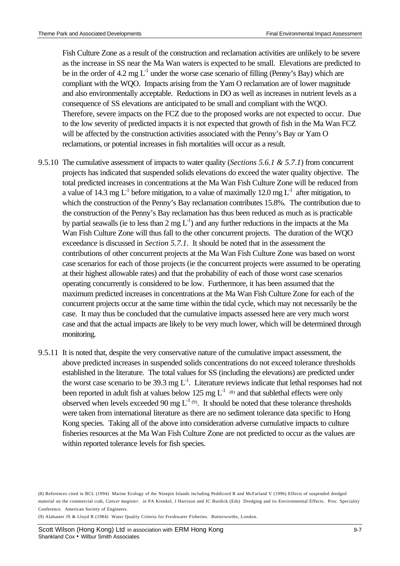Fish Culture Zone as a result of the construction and reclamation activities are unlikely to be severe as the increase in SS near the Ma Wan waters is expected to be small. Elevations are predicted to be in the order of 4.2 mg  $L^{-1}$  under the worse case scenario of filling (Penny's Bay) which are compliant with the WQO. Impacts arising from the Yam O reclamation are of lower magnitude and also environmentally acceptable. Reductions in DO as well as increases in nutrient levels as a consequence of SS elevations are anticipated to be small and compliant with the WQO. Therefore, severe impacts on the FCZ due to the proposed works are not expected to occur. Due to the low severity of predicted impacts it is not expected that growth of fish in the Ma Wan FCZ will be affected by the construction activities associated with the Penny's Bay or Yam O reclamations, or potential increases in fish mortalities will occur as a result.

- 9.5.10 The cumulative assessment of impacts to water quality (*Sections 5.6.1 & 5.7.1*) from concurrent projects has indicated that suspended solids elevations do exceed the water quality objective. The total predicted increases in concentrations at the Ma Wan Fish Culture Zone will be reduced from a value of 14.3 mg  $L^{-1}$  before mitigation, to a value of maximally 12.0 mg  $L^{-1}$  after mitigation, to which the construction of the Penny's Bay reclamation contributes 15.8%. The contribution due to the construction of the Penny's Bay reclamation has thus been reduced as much as is practicable by partial seawalls (ie to less than 2 mg  $L^{-1}$ ) and any further reductions in the impacts at the Ma Wan Fish Culture Zone will thus fall to the other concurrent projects. The duration of the WQO exceedance is discussed in *Section 5.7.1*. It should be noted that in the assessment the contributions of other concurrent projects at the Ma Wan Fish Culture Zone was based on worst case scenarios for each of those projects (ie the concurrent projects were assumed to be operating at their highest allowable rates) and that the probability of each of those worst case scenarios operating concurrently is considered to be low. Furthermore, it has been assumed that the maximum predicted increases in concentrations at the Ma Wan Fish Culture Zone for each of the concurrent projects occur at the same time within the tidal cycle, which may not necessarily be the case. It may thus be concluded that the cumulative impacts assessed here are very much worst case and that the actual impacts are likely to be very much lower, which will be determined through monitoring.
- 9.5.11 It is noted that, despite the very conservative nature of the cumulative impact assessment, the above predicted increases in suspended solids concentrations do not exceed tolerance thresholds established in the literature. The total values for SS (including the elevations) are predicted under the worst case scenario to be 39.3 mg  $L<sup>1</sup>$ . Literature reviews indicate that lethal responses had not been reported in adult fish at values below 125 mg  $L<sup>1</sup>$  (8) and that sublethal effects were only observed when levels exceeded 90 mg  $L^{1}$  (9). It should be noted that these tolerance thresholds were taken from international literature as there are no sediment tolerance data specific to Hong Kong species. Taking all of the above into consideration adverse cumulative impacts to culture fisheries resources at the Ma Wan Fish Culture Zone are not predicted to occur as the values are within reported tolerance levels for fish species.

(9) Alabaster JS & Lloyd R (1984) Water Quality Criteria for Freshwater Fisheries. Butterworths, London.

<sup>(8)</sup> References cited in BCL (1994) Marine Ecology of the Ninepin Islands including Peddicord R and McFarland V (1996) Effects of suspended dredged material on the commercial crab, *Cancer magister*. in PA Krenkel, J Harrison and JC Burdick (Eds) Dredging and its Environmental Effects. Proc. Speciality Conference. American Society of Engineers.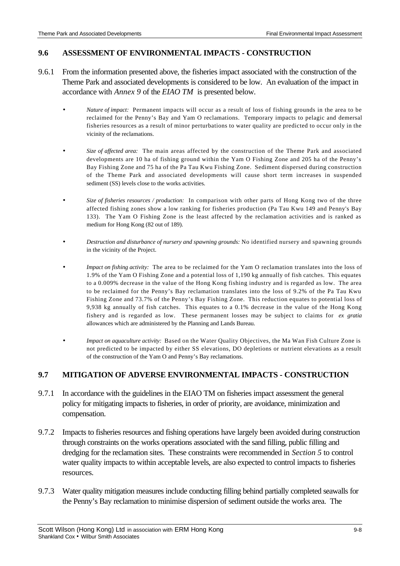# **9.6 ASSESSMENT OF ENVIRONMENTAL IMPACTS - CONSTRUCTION**

- 9.6.1 From the information presented above, the fisheries impact associated with the construction of the Theme Park and associated developments is considered to be low. An evaluation of the impact in accordance with *Annex 9* of the *EIAO TM* is presented below.
	- *Nature of impact:* Permanent impacts will occur as a result of loss of fishing grounds in the area to be reclaimed for the Penny's Bay and Yam O reclamations. Temporary impacts to pelagic and demersal fisheries resources as a result of minor perturbations to water quality are predicted to occur only in the vicinity of the reclamations.
	- *Size of affected area:* The main areas affected by the construction of the Theme Park and associated developments are 10 ha of fishing ground within the Yam O Fishing Zone and 205 ha of the Penny's Bay Fishing Zone and 75 ha of the Pa Tau Kwu Fishing Zone. Sediment dispersed during construction of the Theme Park and associated developments will cause short term increases in suspended sediment (SS) levels close to the works activities.
	- *Size of fisheries resources / production:* In comparison with other parts of Hong Kong two of the three affected fishing zones show a low ranking for fisheries production (Pa Tau Kwu 149 and Penny's Bay 133). The Yam O Fishing Zone is the least affected by the reclamation activities and is ranked as medium for Hong Kong (82 out of 189).
	- *Destruction and disturbance of nursery and spawning grounds:* No identified nursery and spawning grounds in the vicinity of the Project.
	- *Impact on fishing activity:* The area to be reclaimed for the Yam O reclamation translates into the loss of 1.9% of the Yam O Fishing Zone and a potential loss of 1,190 kg annually of fish catches. This equates to a 0.009% decrease in the value of the Hong Kong fishing industry and is regarded as low. The area to be reclaimed for the Penny's Bay reclamation translates into the loss of 9.2% of the Pa Tau Kwu Fishing Zone and 73.7% of the Penny's Bay Fishing Zone. This reduction equates to potential loss of 9,938 kg annually of fish catches. This equates to a 0.1% decrease in the value of the Hong Kong fishery and is regarded as low. These permanent losses may be subject to claims for *ex gratia* allowances which are administered by the Planning and Lands Bureau.
	- *Impact on aquaculture activity:* Based on the Water Quality Objectives, the Ma Wan Fish Culture Zone is not predicted to be impacted by either SS elevations, DO depletions or nutrient elevations as a result of the construction of the Yam O and Penny's Bay reclamations.

# **9.7 MITIGATION OF ADVERSE ENVIRONMENTAL IMPACTS - CONSTRUCTION**

- 9.7.1 In accordance with the guidelines in the EIAO TM on fisheries impact assessment the general policy for mitigating impacts to fisheries, in order of priority, are avoidance, minimization and compensation.
- 9.7.2 Impacts to fisheries resources and fishing operations have largely been avoided during construction through constraints on the works operations associated with the sand filling, public filling and dredging for the reclamation sites. These constraints were recommended in *Section 5* to control water quality impacts to within acceptable levels, are also expected to control impacts to fisheries resources.
- 9.7.3 Water quality mitigation measures include conducting filling behind partially completed seawalls for the Penny's Bay reclamation to minimise dispersion of sediment outside the works area. The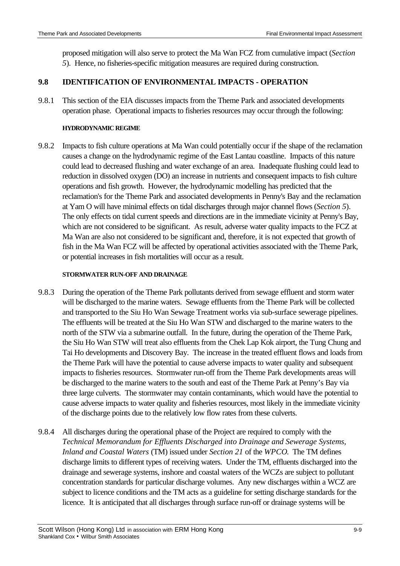proposed mitigation will also serve to protect the Ma Wan FCZ from cumulative impact (*Section 5*). Hence, no fisheries-specific mitigation measures are required during construction.

# **9.8 IDENTIFICATION OF ENVIRONMENTAL IMPACTS - OPERATION**

9.8.1 This section of the EIA discusses impacts from the Theme Park and associated developments operation phase. Operational impacts to fisheries resources may occur through the following:

# **HYDRODYNAMIC REGIME**

9.8.2 Impacts to fish culture operations at Ma Wan could potentially occur if the shape of the reclamation causes a change on the hydrodynamic regime of the East Lantau coastline. Impacts of this nature could lead to decreased flushing and water exchange of an area. Inadequate flushing could lead to reduction in dissolved oxygen (DO) an increase in nutrients and consequent impacts to fish culture operations and fish growth. However, the hydrodynamic modelling has predicted that the reclamation's for the Theme Park and associated developments in Penny's Bay and the reclamation at Yam O will have minimal effects on tidal discharges through major channel flows (*Section 5*). The only effects on tidal current speeds and directions are in the immediate vicinity at Penny's Bay, which are not considered to be significant. As result, adverse water quality impacts to the FCZ at Ma Wan are also not considered to be significant and, therefore, it is not expected that growth of fish in the Ma Wan FCZ will be affected by operational activities associated with the Theme Park, or potential increases in fish mortalities will occur as a result.

## **STORMWATER RUN-OFF AND DRAINAGE**

- 9.8.3 During the operation of the Theme Park pollutants derived from sewage effluent and storm water will be discharged to the marine waters. Sewage effluents from the Theme Park will be collected and transported to the Siu Ho Wan Sewage Treatment works via sub-surface sewerage pipelines. The effluents will be treated at the Siu Ho Wan STW and discharged to the marine waters to the north of the STW via a submarine outfall. In the future, during the operation of the Theme Park, the Siu Ho Wan STW will treat also effluents from the Chek Lap Kok airport, the Tung Chung and Tai Ho developments and Discovery Bay. The increase in the treated effluent flows and loads from the Theme Park will have the potential to cause adverse impacts to water quality and subsequent impacts to fisheries resources. Stormwater run-off from the Theme Park developments areas will be discharged to the marine waters to the south and east of the Theme Park at Penny's Bay via three large culverts. The stormwater may contain contaminants, which would have the potential to cause adverse impacts to water quality and fisheries resources, most likely in the immediate vicinity of the discharge points due to the relatively low flow rates from these culverts.
- 9.8.4 All discharges during the operational phase of the Project are required to comply with the *Technical Memorandum for Effluents Discharged into Drainage and Sewerage Systems, Inland and Coastal Waters* (TM) issued under *Section 21* of the *WPCO*. The TM defines discharge limits to different types of receiving waters. Under the TM, effluents discharged into the drainage and sewerage systems, inshore and coastal waters of the WCZs are subject to pollutant concentration standards for particular discharge volumes. Any new discharges within a WCZ are subject to licence conditions and the TM acts as a guideline for setting discharge standards for the licence. It is anticipated that all discharges through surface run-off or drainage systems will be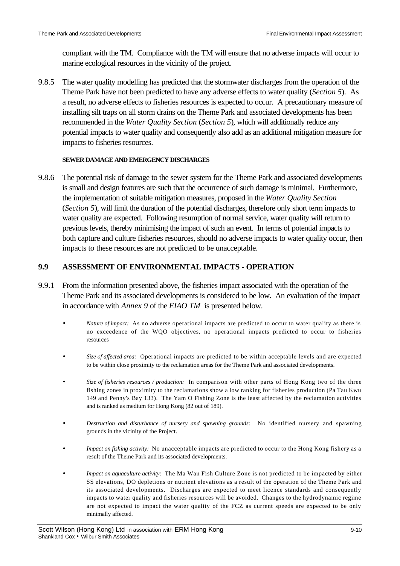compliant with the TM. Compliance with the TM will ensure that no adverse impacts will occur to marine ecological resources in the vicinity of the project.

9.8.5 The water quality modelling has predicted that the stormwater discharges from the operation of the Theme Park have not been predicted to have any adverse effects to water quality (*Section 5*). As a result, no adverse effects to fisheries resources is expected to occur. A precautionary measure of installing silt traps on all storm drains on the Theme Park and associated developments has been recommended in the *Water Quality Section* (*Section 5*), which will additionally reduce any potential impacts to water quality and consequently also add as an additional mitigation measure for impacts to fisheries resources.

### **SEWER DAMAGE AND EMERGENCY DISCHARGES**

9.8.6 The potential risk of damage to the sewer system for the Theme Park and associated developments is small and design features are such that the occurrence of such damage is minimal. Furthermore, the implementation of suitable mitigation measures, proposed in the *Water Quality Section* (*Section 5*), will limit the duration of the potential discharges, therefore only short term impacts to water quality are expected. Following resumption of normal service, water quality will return to previous levels, thereby minimising the impact of such an event. In terms of potential impacts to both capture and culture fisheries resources, should no adverse impacts to water quality occur, then impacts to these resources are not predicted to be unacceptable.

# **9.9 ASSESSMENT OF ENVIRONMENTAL IMPACTS - OPERATION**

- 9.9.1 From the information presented above, the fisheries impact associated with the operation of the Theme Park and its associated developments is considered to be low. An evaluation of the impact in accordance with *Annex 9* of the *EIAO TM* is presented below.
	- *Nature of impact:* As no adverse operational impacts are predicted to occur to water quality as there is no exceedence of the WQO objectives, no operational impacts predicted to occur to fisheries resources
	- *Size of affected area:* Operational impacts are predicted to be within acceptable levels and are expected to be within close proximity to the reclamation areas for the Theme Park and associated developments.
	- *Size of fisheries resources / production:* In comparison with other parts of Hong Kong two of the three fishing zones in proximity to the reclamations show a low ranking for fisheries production (Pa Tau Kwu 149 and Penny's Bay 133). The Yam O Fishing Zone is the least affected by the reclamation activities and is ranked as medium for Hong Kong (82 out of 189).
	- *Destruction and disturbance of nursery and spawning grounds:* No identified nursery and spawning grounds in the vicinity of the Project.
	- *Impact on fishing activity:* No unacceptable impacts are predicted to occur to the Hong Kong fishery as a result of the Theme Park and its associated developments.
	- *Impact on aquaculture activity:* The Ma Wan Fish Culture Zone is not predicted to be impacted by either SS elevations, DO depletions or nutrient elevations as a result of the operation of the Theme Park and its associated developments. Discharges are expected to meet licence standards and consequently impacts to water quality and fisheries resources will be avoided. Changes to the hydrodynamic regime are not expected to impact the water quality of the FCZ as current speeds are expected to be only minimally affected.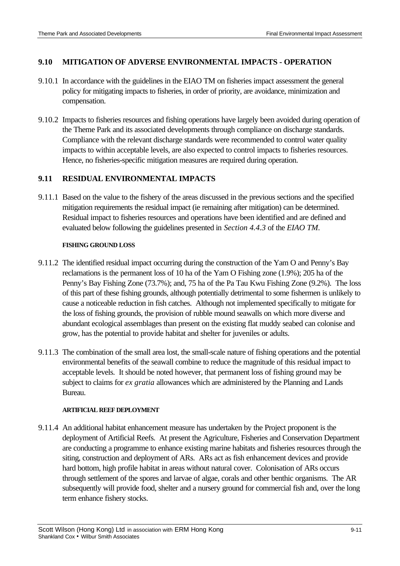## **9.10 MITIGATION OF ADVERSE ENVIRONMENTAL IMPACTS - OPERATION**

- 9.10.1 In accordance with the guidelines in the EIAO TM on fisheries impact assessment the general policy for mitigating impacts to fisheries, in order of priority, are avoidance, minimization and compensation.
- 9.10.2 Impacts to fisheries resources and fishing operations have largely been avoided during operation of the Theme Park and its associated developments through compliance on discharge standards. Compliance with the relevant discharge standards were recommended to control water quality impacts to within acceptable levels, are also expected to control impacts to fisheries resources. Hence, no fisheries-specific mitigation measures are required during operation.

## **9.11 RESIDUAL ENVIRONMENTAL IMPACTS**

9.11.1 Based on the value to the fishery of the areas discussed in the previous sections and the specified mitigation requirements the residual impact (ie remaining after mitigation) can be determined. Residual impact to fisheries resources and operations have been identified and are defined and evaluated below following the guidelines presented in *Section 4.4.3* of the *EIAO TM*.

#### **FISHING GROUND LOSS**

- 9.11.2 The identified residual impact occurring during the construction of the Yam O and Penny's Bay reclamations is the permanent loss of 10 ha of the Yam O Fishing zone (1.9%); 205 ha of the Penny's Bay Fishing Zone (73.7%); and, 75 ha of the Pa Tau Kwu Fishing Zone (9.2%). The loss of this part of these fishing grounds, although potentially detrimental to some fishermen is unlikely to cause a noticeable reduction in fish catches. Although not implemented specifically to mitigate for the loss of fishing grounds, the provision of rubble mound seawalls on which more diverse and abundant ecological assemblages than present on the existing flat muddy seabed can colonise and grow, has the potential to provide habitat and shelter for juveniles or adults.
- 9.11.3 The combination of the small area lost, the small-scale nature of fishing operations and the potential environmental benefits of the seawall combine to reduce the magnitude of this residual impact to acceptable levels. It should be noted however, that permanent loss of fishing ground may be subject to claims for *ex gratia* allowances which are administered by the Planning and Lands Bureau.

### **ARTIFICIAL REEF DEPLOYMENT**

9.11.4 An additional habitat enhancement measure has undertaken by the Project proponent is the deployment of Artificial Reefs. At present the Agriculture, Fisheries and Conservation Department are conducting a programme to enhance existing marine habitats and fisheries resources through the siting, construction and deployment of ARs. ARs act as fish enhancement devices and provide hard bottom, high profile habitat in areas without natural cover. Colonisation of ARs occurs through settlement of the spores and larvae of algae, corals and other benthic organisms. The AR subsequently will provide food, shelter and a nursery ground for commercial fish and, over the long term enhance fishery stocks.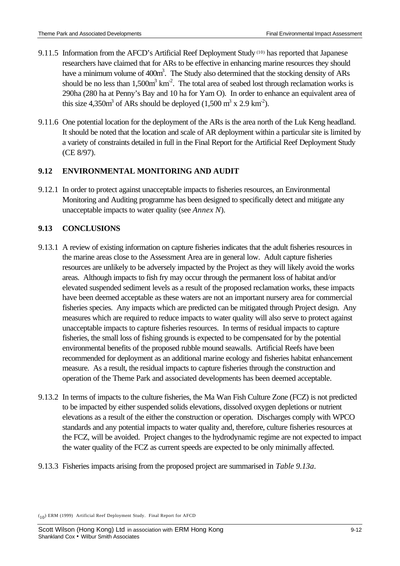- 9.11.5 Information from the AFCD's Artificial Reef Deployment Study (10) has reported that Japanese researchers have claimed that for ARs to be effective in enhancing marine resources they should have a minimum volume of 400m<sup>3</sup>. The Study also determined that the stocking density of ARs should be no less than  $1,500m^3$  km<sup>-2</sup>. The total area of seabed lost through reclamation works is 290ha (280 ha at Penny's Bay and 10 ha for Yam O). In order to enhance an equivalent area of this size 4,350 $m<sup>3</sup>$  of ARs should be deployed (1,500  $m<sup>3</sup>$  x 2.9 km<sup>2</sup>).
- 9.11.6 One potential location for the deployment of the ARs is the area north of the Luk Keng headland. It should be noted that the location and scale of AR deployment within a particular site is limited by a variety of constraints detailed in full in the Final Report for the Artificial Reef Deployment Study (CE 8/97).

# **9.12 ENVIRONMENTAL MONITORING AND AUDIT**

9.12.1 In order to protect against unacceptable impacts to fisheries resources, an Environmental Monitoring and Auditing programme has been designed to specifically detect and mitigate any unacceptable impacts to water quality (see *Annex N*).

# **9.13 CONCLUSIONS**

- 9.13.1 A review of existing information on capture fisheries indicates that the adult fisheries resources in the marine areas close to the Assessment Area are in general low. Adult capture fisheries resources are unlikely to be adversely impacted by the Project as they will likely avoid the works areas. Although impacts to fish fry may occur through the permanent loss of habitat and/or elevated suspended sediment levels as a result of the proposed reclamation works, these impacts have been deemed acceptable as these waters are not an important nursery area for commercial fisheries species. Any impacts which are predicted can be mitigated through Project design. Any measures which are required to reduce impacts to water quality will also serve to protect against unacceptable impacts to capture fisheries resources. In terms of residual impacts to capture fisheries, the small loss of fishing grounds is expected to be compensated for by the potential environmental benefits of the proposed rubble mound seawalls. Artificial Reefs have been recommended for deployment as an additional marine ecology and fisheries habitat enhancement measure. As a result, the residual impacts to capture fisheries through the construction and operation of the Theme Park and associated developments has been deemed acceptable.
- 9.13.2 In terms of impacts to the culture fisheries, the Ma Wan Fish Culture Zone (FCZ) is not predicted to be impacted by either suspended solids elevations, dissolved oxygen depletions or nutrient elevations as a result of the either the construction or operation. Discharges comply with WPCO standards and any potential impacts to water quality and, therefore, culture fisheries resources at the FCZ, will be avoided. Project changes to the hydrodynamic regime are not expected to impact the water quality of the FCZ as current speeds are expected to be only minimally affected.
- 9.13.3 Fisheries impacts arising from the proposed project are summarised in *Table 9.13a*.

 $(10)$  ERM (1999) Artificial Reef Deployment Study. Final Report for AFCD